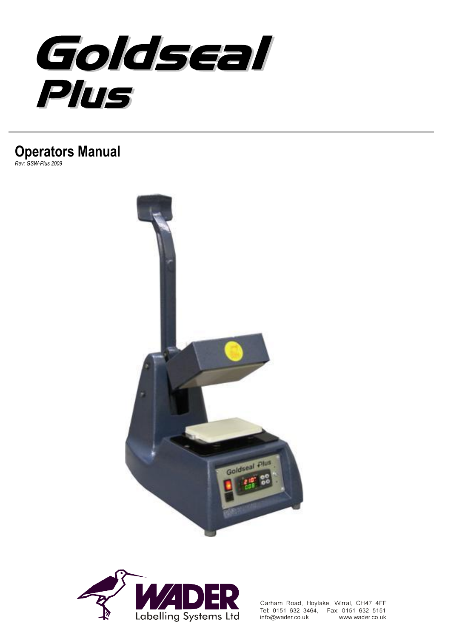

# **Operators Manual**

*Rev: GSW-Plus 2009*





Carham Road, Hoylake, Wirral, CH47 4FF Tel: 0151 632 3464, Fax: 0151 632 5151 info@wader.co.uk www.wader.co.uk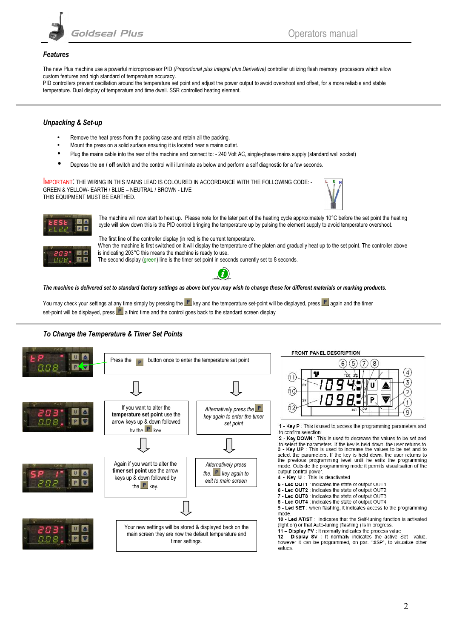

#### *Features*

The new Plus machine use a powerful microprocessor PID *(Proportional plus Integral plus Derivative)* controller utilizing flash memory processors which allow custom features and high standard of temperature accuracy.

PID controllers prevent oscillation around the temperature set point and adjust the power output to avoid overshoot and offset, for a more reliable and stable temperature. Dual display of temperature and time dwell. SSR controlled heating element.

### *Unpacking & Set-up*

- Remove the heat press from the packing case and retain all the packing.
- Mount the press on a solid surface ensuring it is located near a mains outlet.
- Plug the mains cable into the rear of the machine and connect to: 240 Volt AC, single-phase mains supply (standard wall socket)
- Depress the **on / off** switch and the control will illuminate as below and perform a self diagnostic for a few seconds.

IMPORTANT: THE WIRING IN THIS MAINS LEAD IS COLOURED IN ACCORDANCE WITH THE FOLLOWING CODE: - GREEN & YELLOW- EARTH / BLUE – NEUTRAL / BROWN - LIVE THIS EQUIPMENT MUST BE EARTHED.





The machine will now start to heat up. Please note for the later part of the heating cycle approximately 10°C before the set point the heating cycle will slow down this is the PID control bringing the temperature up by pulsing the element supply to avoid temperature overshoot.

The first line of the controller display (in red) is the current temperature. When the machine is first switched on it will display the temperature of the platen and gradually heat up to the set point. The controller above is indicating 203°C this means the machine is ready to use. The second display (green) line is the timer set point in seconds currently set to 8 seconds.



*The machine is delivered set to standard factory settings as above but you may wish to change these for different materials or marking products.*

You may check your settings at any time simply by pressing the  $\mathbb{P}$  key and the temperature set-point will be displayed, press  $\mathbb{P}$  again and the timer set-point will be displayed, press  $\mathbb{P}$  a third time and the control goes back to the standard screen display

#### *To Change the Temperature & Timer Set Points*

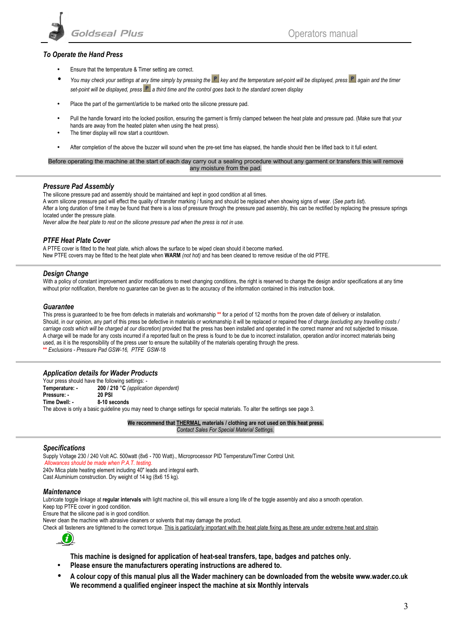

#### *To Operate the Hand Press*

- Ensure that the temperature & Timer setting are correct.
- You may check your settings at any time simply by pressing the **P** key and the temperature set-point will be displayed, press **P** again and the timer set-point will be displayed, press **P** a third time and the control goes back to the standard screen display
- Place the part of the garment/article to be marked onto the silicone pressure pad.
- Pull the handle forward into the locked position, ensuring the garment is firmly clamped between the heat plate and pressure pad. (Make sure that your hands are away from the heated platen when using the heat press).
- The timer display will now start a countdown.
- After completion of the above the buzzer will sound when the pre-set time has elapsed, the handle should then be lifted back to it full extent.

Before operating the machine at the start of each day carry out a sealing procedure without any garment or transfers this will remove any moisture from the pad.

#### *Pressure Pad Assembly*

The silicone pressure pad and assembly should be maintained and kept in good condition at all times.

A worn silicone pressure pad will effect the quality of transfer marking / fusing and should be replaced when showing signs of wear. (*See parts list*). After a long duration of time it may be found that there is a loss of pressure through the pressure pad assembly, this can be rectified by replacing the pressure springs located under the pressure plate.

*Never allow the heat plate to rest on the silicone pressure pad when the press is not in use.*

#### *PTFE Heat Plate Cover*

A PTFE cover is fitted to the heat plate, which allows the surface to be wiped clean should it become marked. New PTFE covers may be fitted to the heat plate when **WARM** *(not hot)* and has been cleaned to remove residue of the old PTFE.

#### *Design Change*

With a policy of constant improvement and/or modifications to meet changing conditions, the right is reserved to change the design and/or specifications at any time without prior notification, therefore no guarantee can be given as to the accuracy of the information contained in this instruction book.

#### *Guarantee*

This press is guaranteed to be free from defects in materials and workmanship **\*\*** for a period of 12 months from the proven date of delivery or installation. Should, in our opinion, any part of this press be defective in materials or workmanship it will be replaced or repaired free of charge *(excluding any travelling costs / carriage costs which will be charged at our discretion)* provided that the press has been installed and operated in the correct manner and not subjected to misuse. A charge will be made for any costs incurred if a reported fault on the press is found to be due to incorrect installation, operation and/or incorrect materials being used, as it is the responsibility of the press user to ensure the suitability of the materials operating through the press. **\*\*** *Exclusions - Pressure Pad GSW-16, PTFE GSW-*18

#### *Application details for Wader Products*

Your press should have the following settings: -**Temperature: - 200 / 210** °**C** *(application dependent)* **Pressure: - 20 PSI Time Dwell: - 8-10 seconds** The above is only a basic guideline you may need to change settings for special materials. To alter the settings see page 3.

> **We recommend that THERMAL materials / clothing are not used on this heat press.** *Contact Sales For Special Material Settings.*

#### *Specifications*

Supply Voltage 230 / 240 Volt AC. 500watt (8x6 - 700 Watt)., Microprocessor PID Temperature/Timer Control Unit. *Allowances should be made when P.A.T. testing*. 240v Mica plate heating element including 40" leads and integral earth. Cast Aluminium construction. Dry weight of 14 kg (8x6 15 kg).

#### *Maintenance*

Lubricate toggle linkage at **regular intervals** with light machine oil, this will ensure a long life of the toggle assembly and also a smooth operation.

Keep top PTFE cover in good condition.

Ensure that the silicone pad is in good condition.

Never clean the machine with abrasive cleaners or solvents that may damage the product.

Check all fasteners are tightened to the correct torque. This is particularly important with the heat plate fixing as these are under extreme heat and strain.



**This machine is designed for application of heat-seal transfers, tape, badges and patches only.**

- **Please ensure the manufacturers operating instructions are adhered to.**
- **A colour copy of this manual plus all the Wader machinery can be downloaded from the website [www.wader.co.uk](http://www.wader.co.uk/) We recommend a qualified engineer inspect the machine at six Monthly intervals**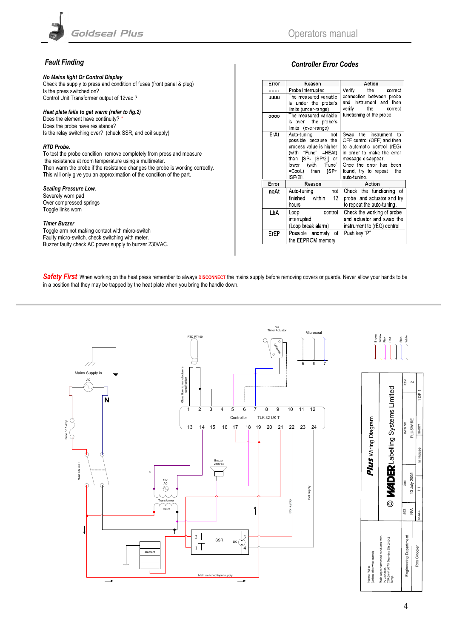

### *Fault Finding*

#### *No Mains light Or Control Display*

Check the supply to press and condition of fuses (front panel & plug) Is the press switched on? Control Unit Transformer output of 12vac ?

#### *Heat plate fails to get warm (refer to fig.2)*

Does the element have continuity? *\** Does the probe have resistance? Is the relay switching over? (check SSR, and coil supply)

#### *RTD Probe.*

To test the probe condition remove completely from press and measure the resistance at room temperature using a multimeter. Then warm the probe if the resistance changes the probe is working correctly. This will only give you an approximation of the condition of the part.

#### *Sealing Pressure Low.*

Severely worn pad Over compressed springs Toggle links worn

#### *Timer Buzzer*

Toggle arm not making contact with micro-switch Faulty micro-switch, check switching with meter. Buzzer faulty check AC power supply to buzzer 230VAC.

### *Controller Error Codes*

| Error | Reason                  | Action                      |  |  |  |
|-------|-------------------------|-----------------------------|--|--|--|
| .     | Probe interrupted       | Verify<br>the<br>correct    |  |  |  |
| uuuu  | The measured variable   | connection between probe    |  |  |  |
|       | is under the probe's    | and instrument and then     |  |  |  |
|       | limits (under-range)    | verify<br>the correct       |  |  |  |
| 0000  | The measured variable   | functioning of the probe    |  |  |  |
|       | is over the probe's     |                             |  |  |  |
|       | limits (over-range)     |                             |  |  |  |
| ErAt  | Auto-tuning not         | Swap the instrument<br>to   |  |  |  |
|       | possible because the    | OFF control (OFF) and then  |  |  |  |
|       | process value is higher | to automatic control (rEG)  |  |  |  |
|       | (with "Func" =HEAt)     | in order to make the error  |  |  |  |
|       | than [SP-  SP/2 ] or    | message disappear.          |  |  |  |
|       | lower (with "Func"      | Once the error has been     |  |  |  |
|       | =CooL) than<br>ISP+     | found, try to repeat<br>the |  |  |  |
|       | ISP/211.                | auto-tuning.                |  |  |  |
| Error | Reason                  | Action                      |  |  |  |
| noAt  | not<br>Auto-tuning      | Check the functioning of    |  |  |  |
|       | finished within<br>12   | probe and actuator and try  |  |  |  |
|       | hours                   | to repeat the auto-tuning.  |  |  |  |
| LbA   | control<br>Loop         | Check the working of probe  |  |  |  |
|       | interrupted             | and actuator and swap the   |  |  |  |
|       | (Loop break alarm)      | instrument to (rEG) control |  |  |  |
| ErEP  | Possible anomaly<br>οf  | Push key "P"                |  |  |  |
|       | the EEPROM memory       |                             |  |  |  |
|       |                         |                             |  |  |  |

Safety First When working on the heat press remember to always DISCONNECT the mains supply before removing covers or guards. Never allow your hands to be in a position that they may be trapped by the heat plate when you bring the handle down.



Pink Red Blue White Yellow Brown

|                                             |                                                                                                                 | REV<br>DWG NO          | PLUSWIRE      | $1$ OF 1          |
|---------------------------------------------|-----------------------------------------------------------------------------------------------------------------|------------------------|---------------|-------------------|
| <b>Plus</b> Wiring Diagram                  | © <b>MADER</b> Labelling Systems Limited                                                                        |                        |               | SHEET<br>In House |
|                                             |                                                                                                                 | Date                   | 13 July 2005  | Ξ                 |
|                                             |                                                                                                                 | <b>SIZE</b>            | $\frac{1}{2}$ | SCALE             |
| (unless otherwise stated)<br>Internal Wires | Plain copper stranded conductor with<br>CSA(mm <sup>2</sup> ) 0.75 Strands / Dia 24/0.2<br>PVC sheath.<br>Gamp. | Engineering Department |               | Roy Goodier       |